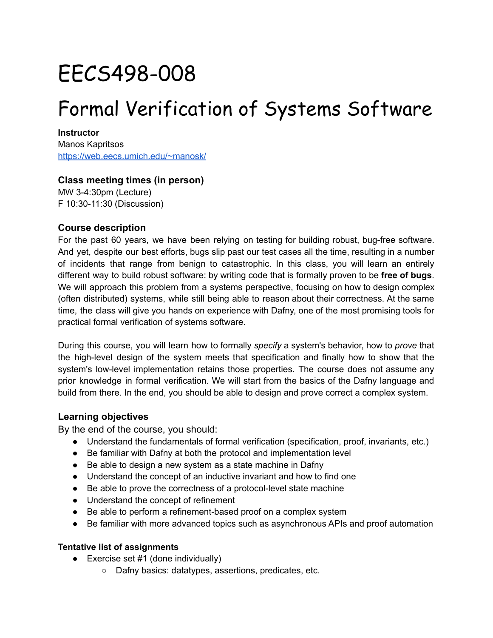# EECS498-008

## Formal Verification of Systems Software

**Instructor** Manos Kapritsos <https://web.eecs.umich.edu/~manosk/>

#### **Class meeting times (in person)**

MW 3-4:30pm (Lecture) F 10:30-11:30 (Discussion)

#### **Course description**

For the past 60 years, we have been relying on testing for building robust, bug-free software. And yet, despite our best efforts, bugs slip past our test cases all the time, resulting in a number of incidents that range from benign to catastrophic. In this class, you will learn an entirely different way to build robust software: by writing code that is formally proven to be **free of bugs**. We will approach this problem from a systems perspective, focusing on how to design complex (often distributed) systems, while still being able to reason about their correctness. At the same time, the class will give you hands on experience with Dafny, one of the most promising tools for practical formal verification of systems software.

During this course, you will learn how to formally *specify* a system's behavior, how to *prove* that the high-level design of the system meets that specification and finally how to show that the system's low-level implementation retains those properties. The course does not assume any prior knowledge in formal verification. We will start from the basics of the Dafny language and build from there. In the end, you should be able to design and prove correct a complex system.

#### **Learning objectives**

By the end of the course, you should:

- Understand the fundamentals of formal verification (specification, proof, invariants, etc.)
- Be familiar with Dafny at both the protocol and implementation level
- Be able to design a new system as a state machine in Dafny
- Understand the concept of an inductive invariant and how to find one
- Be able to prove the correctness of a protocol-level state machine
- Understand the concept of refinement
- Be able to perform a refinement-based proof on a complex system
- Be familiar with more advanced topics such as asynchronous APIs and proof automation

#### **Tentative list of assignments**

- $\bullet$  Exercise set #1 (done individually)
	- Dafny basics: datatypes, assertions, predicates, etc.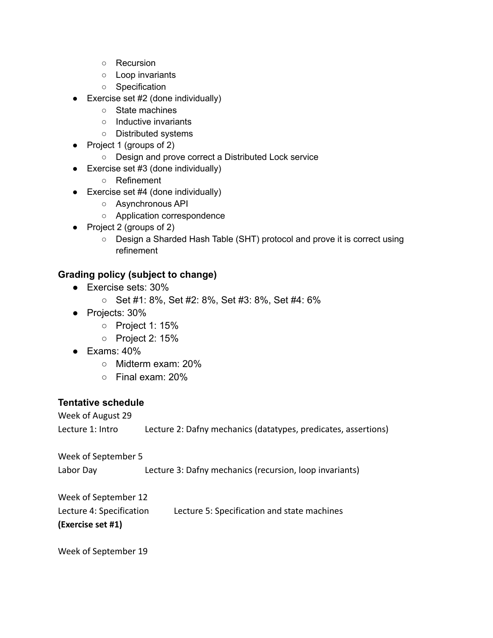- Recursion
- Loop invariants
- Specification
- $\bullet$  Exercise set #2 (done individually)
	- State machines
	- Inductive invariants
	- Distributed systems
- Project 1 (groups of 2)
	- Design and prove correct a Distributed Lock service
- $\bullet$  Exercise set #3 (done individually)
	- Refinement
- $\bullet$  Exercise set #4 (done individually)
	- Asynchronous API
	- Application correspondence
- Project 2 (groups of 2)
	- Design a Sharded Hash Table (SHT) protocol and prove it is correct using refinement

### **Grading policy (subject to change)**

- Exercise sets: 30%
	- Set #1: 8%, Set #2: 8%, Set #3: 8%, Set #4: 6%
- Projects: 30%
	- Project 1: 15%
	- Project 2: 15%
- $\bullet$  Exams: 40%
	- Midterm exam: 20%
	- Final exam: 20%

#### **Tentative schedule**

Week of August 29 Lecture 1: Intro Lecture 2: Dafny mechanics (datatypes, predicates, assertions) Week of September 5 Labor Day Lecture 3: Dafny mechanics (recursion, loop invariants) Week of September 12 Lecture 4: Specification Lecture 5: Specification and state machines **(Exercise set #1)**

Week of September 19